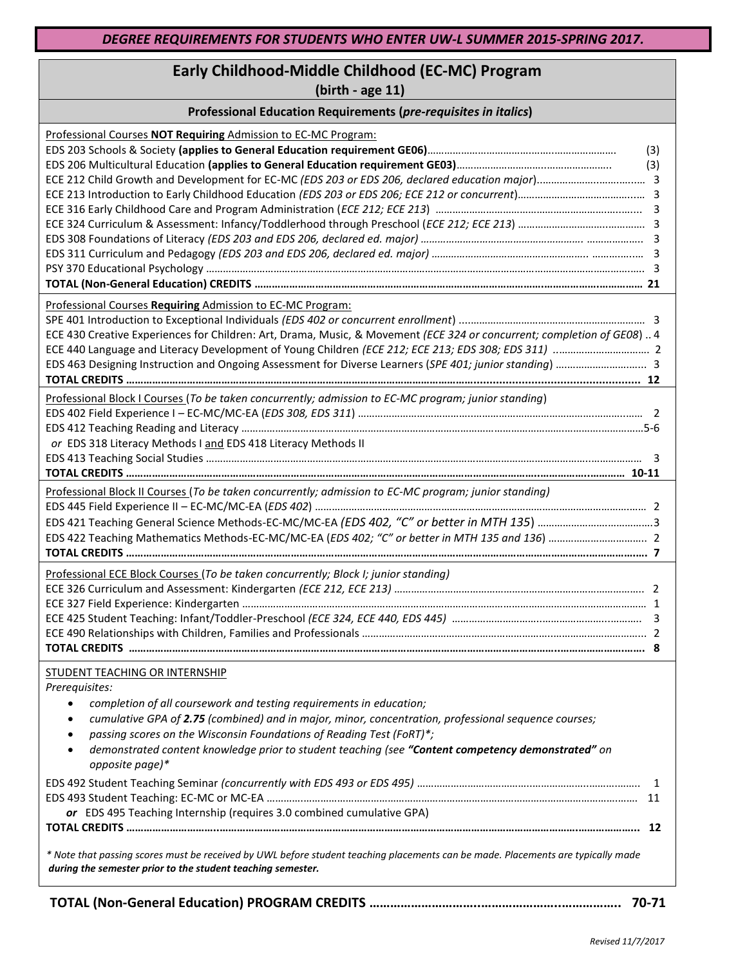## **Early Childhood-Middle Childhood (EC-MC) Program**

**(birth - age 11)**

| Professional Education Requirements (pre-requisites in italics)                                                                                                                                 |  |  |
|-------------------------------------------------------------------------------------------------------------------------------------------------------------------------------------------------|--|--|
| Professional Courses NOT Requiring Admission to EC-MC Program:                                                                                                                                  |  |  |
| (3)                                                                                                                                                                                             |  |  |
| (3)                                                                                                                                                                                             |  |  |
|                                                                                                                                                                                                 |  |  |
|                                                                                                                                                                                                 |  |  |
|                                                                                                                                                                                                 |  |  |
|                                                                                                                                                                                                 |  |  |
|                                                                                                                                                                                                 |  |  |
|                                                                                                                                                                                                 |  |  |
|                                                                                                                                                                                                 |  |  |
|                                                                                                                                                                                                 |  |  |
| Professional Courses Requiring Admission to EC-MC Program:                                                                                                                                      |  |  |
|                                                                                                                                                                                                 |  |  |
| ECE 430 Creative Experiences for Children: Art, Drama, Music, & Movement (ECE 324 or concurrent; completion of GE08)  4                                                                         |  |  |
|                                                                                                                                                                                                 |  |  |
| EDS 463 Designing Instruction and Ongoing Assessment for Diverse Learners (SPE 401; junior standing)  3                                                                                         |  |  |
|                                                                                                                                                                                                 |  |  |
| Professional Block I Courses (To be taken concurrently; admission to EC-MC program; junior standing)                                                                                            |  |  |
|                                                                                                                                                                                                 |  |  |
|                                                                                                                                                                                                 |  |  |
| or EDS 318 Literacy Methods I and EDS 418 Literacy Methods II                                                                                                                                   |  |  |
|                                                                                                                                                                                                 |  |  |
|                                                                                                                                                                                                 |  |  |
| Professional Block II Courses (To be taken concurrently; admission to EC-MC program; junior standing)                                                                                           |  |  |
|                                                                                                                                                                                                 |  |  |
| EDS 421 Teaching General Science Methods-EC-MC/MC-EA (EDS 402, "C" or better in MTH 135) 3                                                                                                      |  |  |
|                                                                                                                                                                                                 |  |  |
|                                                                                                                                                                                                 |  |  |
| Professional ECE Block Courses (To be taken concurrently; Block I; junior standing)                                                                                                             |  |  |
|                                                                                                                                                                                                 |  |  |
|                                                                                                                                                                                                 |  |  |
|                                                                                                                                                                                                 |  |  |
|                                                                                                                                                                                                 |  |  |
|                                                                                                                                                                                                 |  |  |
|                                                                                                                                                                                                 |  |  |
| <b>STUDENT TEACHING OR INTERNSHIP</b><br>Prerequisites:                                                                                                                                         |  |  |
|                                                                                                                                                                                                 |  |  |
| completion of all coursework and testing requirements in education;<br>$\bullet$                                                                                                                |  |  |
| cumulative GPA of 2.75 (combined) and in major, minor, concentration, professional sequence courses;                                                                                            |  |  |
| passing scores on the Wisconsin Foundations of Reading Test (FoRT)*;                                                                                                                            |  |  |
| demonstrated content knowledge prior to student teaching (see "Content competency demonstrated" on<br>opposite page)*                                                                           |  |  |
|                                                                                                                                                                                                 |  |  |
|                                                                                                                                                                                                 |  |  |
| or EDS 495 Teaching Internship (requires 3.0 combined cumulative GPA)                                                                                                                           |  |  |
|                                                                                                                                                                                                 |  |  |
| * Note that passing scores must be received by UWL before student teaching placements can be made. Placements are typically made<br>during the semester prior to the student teaching semester. |  |  |

**TOTAL (Non-General Education) PROGRAM CREDITS …………………………..…………………..…………….. 70-71**